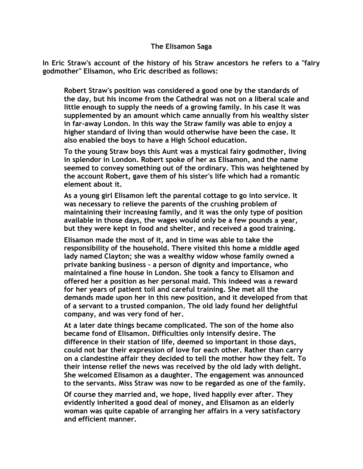## **The Elisamon Saga**

**In Eric Straw's account of the history of his Straw ancestors he refers to a "fairy godmother" Elisamon, who Eric described as follows:**

**Robert Straw's position was considered a good one by the standards of the day, but his income from the Cathedral was not on a liberal scale and little enough to supply the needs of a growing family. In his case it was supplemented by an amount which came annually from his wealthy sister in far-away London. In this way the Straw family was able to enjoy a higher standard of living than would otherwise have been the case. It also enabled the boys to have a High School education.**

**To the young Straw boys this Aunt was a mystical fairy godmother, living in splendor in London. Robert spoke of her as Elisamon, and the name seemed to convey something out of the ordinary. This was heightened by the account Robert, gave them of his sister's life which had a romantic element about it.**

**As a young girl Elisamon left the parental cottage to go into service. It was necessary to relieve the parents of the crushing problem of maintaining their increasing family, and it was the only type of position available in those days, the wages would only be a few pounds a year, but they were kept in food and shelter, and received a good training.**

**Elisamon made the most of it, and in time was able to take the responsibility of the household. There visited this home a middle aged lady named Clayton; she was a wealthy widow whose family owned a private banking business - a person of dignity and importance, who maintained a fine house in London. She took a fancy to Elisamon and offered her a position as her personal maid. This indeed was a reward for her years of patient toil and careful training. She met all the demands made upon her in this new position, and it developed from that of a servant to a trusted companion. The old lady found her delightful company, and was very fond of her.**

**At a later date things became complicated. The son of the home also became fond of Elisamon. Difficulties only intensify desire. The difference in their station of life, deemed so important in those days, could not bar their expression of love for each other. Rather than carry on a clandestine affair they decided to tell the mother how they felt. To their intense relief the news was received by the old lady with delight. She welcomed Elisamon as a daughter. The engagement was announced to the servants. Miss Straw was now to be regarded as one of the family.**

**Of course they married and, we hope, lived happily ever after. They evidently inherited a good deal of money, and Elisamon as an elderly woman was quite capable of arranging her affairs in a very satisfactory and efficient manner.**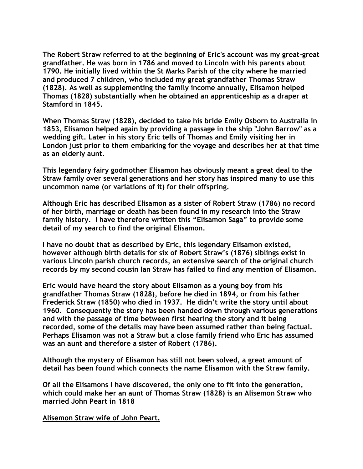**The Robert Straw referred to at the beginning of Eric's account was my great-great grandfather. He was born in 1786 and moved to Lincoln with his parents about 1790. He initially lived within the St Marks Parish of the city where he married and produced 7 children, who included my great grandfather Thomas Straw (1828). As well as supplementing the family income annually, Elisamon helped Thomas (1828) substantially when he obtained an apprenticeship as a draper at Stamford in 1845.**

**When Thomas Straw (1828), decided to take his bride Emily Osborn to Australia in 1853, Elisamon helped again by providing a passage in the ship "John Barrow" as a wedding gift. Later in his story Eric tells of Thomas and Emily visiting her in London just prior to them embarking for the voyage and describes her at that time as an elderly aunt.**

**This legendary fairy godmother Elisamon has obviously meant a great deal to the Straw family over several generations and her story has inspired many to use this uncommon name (or variations of it) for their offspring.** 

**Although Eric has described Elisamon as a sister of Robert Straw (1786) no record of her birth, marriage or death has been found in my research into the Straw family history. I have therefore written this "Elisamon Saga" to provide some detail of my search to find the original Elisamon.**

**I have no doubt that as described by Eric, this legendary Elisamon existed, however although birth details for six of Robert Straw's (1876) siblings exist in various Lincoln parish church records, an extensive search of the original church records by my second cousin Ian Straw has failed to find any mention of Elisamon.**

**Eric would have heard the story about Elisamon as a young boy from his grandfather Thomas Straw (1828), before he died in 1894, or from his father Frederick Straw (1850) who died in 1937. He didn't write the story until about 1960. Consequently the story has been handed down through various generations and with the passage of time between first hearing the story and it being recorded, some of the details may have been assumed rather than being factual. Perhaps Elisamon was not a Straw but a close family friend who Eric has assumed was an aunt and therefore a sister of Robert (1786).**

**Although the mystery of Elisamon has still not been solved, a great amount of detail has been found which connects the name Elisamon with the Straw family.** 

**Of all the Elisamons I have discovered, the only one to fit into the generation, which could make her an aunt of Thomas Straw (1828) is an Alisemon Straw who married John Peart in 1818**

**Alisemon Straw wife of John Peart.**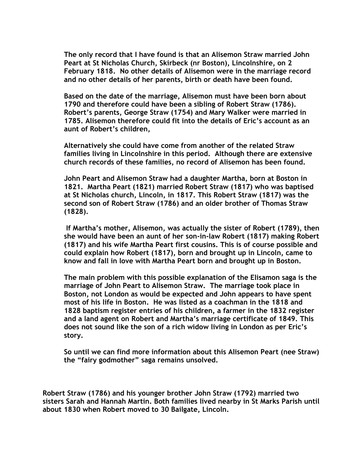**The only record that I have found is that an Alisemon Straw married John Peart at St Nicholas Church, Skirbeck (nr Boston), Lincolnshire, on 2 February 1818. No other details of Alisemon were in the marriage record and no other details of her parents, birth or death have been found.** 

**Based on the date of the marriage, Alisemon must have been born about 1790 and therefore could have been a sibling of Robert Straw (1786). Robert's parents, George Straw (1754) and Mary Walker were married in 1785. Alisemon therefore could fit into the details of Eric's account as an aunt of Robert's children,** 

**Alternatively she could have come from another of the related Straw families living in Lincolnshire in this period. Although there are extensive church records of these families, no record of Alisemon has been found.**

**John Peart and Alisemon Straw had a daughter Martha, born at Boston in 1821. Martha Peart (1821) married Robert Straw (1817) who was baptised at St Nicholas church, Lincoln, in 1817. This Robert Straw (1817) was the second son of Robert Straw (1786) and an older brother of Thomas Straw (1828).** 

**If Martha's mother, Alisemon, was actually the sister of Robert (1789), then she would have been an aunt of her son-in-law Robert (1817) making Robert (1817) and his wife Martha Peart first cousins. This is of course possible and could explain how Robert (1817), born and brought up in Lincoln, came to know and fall in love with Martha Peart born and brought up in Boston.** 

**The main problem with this possible explanation of the Elisamon saga is the marriage of John Peart to Alisemon Straw. The marriage took place in Boston, not London as would be expected and John appears to have spent most of his life in Boston. He was listed as a coachman in the 1818 and 1828 baptism register entries of his children, a farmer in the 1832 register and a land agent on Robert and Martha's marriage certificate of 1849. This does not sound like the son of a rich widow living in London as per Eric's story.**

**So until we can find more information about this Alisemon Peart (nee Straw) the "fairy godmother" saga remains unsolved.**

**Robert Straw (1786) and his younger brother John Straw (1792) married two sisters Sarah and Hannah Martin. Both families lived nearby in St Marks Parish until about 1830 when Robert moved to 30 Bailgate, Lincoln.**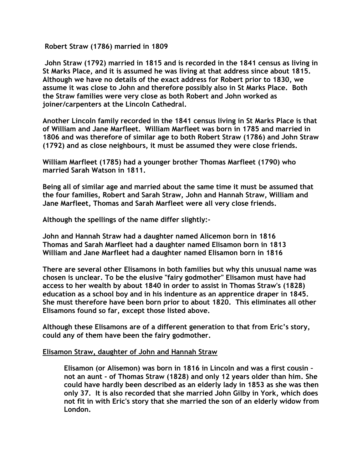**Robert Straw (1786) married in 1809** 

**John Straw (1792) married in 1815 and is recorded in the 1841 census as living in St Marks Place, and it is assumed he was living at that address since about 1815. Although we have no details of the exact address for Robert prior to 1830, we assume it was close to John and therefore possibly also in St Marks Place. Both the Straw families were very close as both Robert and John worked as joiner/carpenters at the Lincoln Cathedral.**

**Another Lincoln family recorded in the 1841 census living in St Marks Place is that of William and Jane Marfleet. William Marfleet was born in 1785 and married in 1806 and was therefore of similar age to both Robert Straw (1786) and John Straw (1792) and as close neighbours, it must be assumed they were close friends.** 

**William Marfleet (1785) had a younger brother Thomas Marfleet (1790) who married Sarah Watson in 1811.** 

**Being all of similar age and married about the same time it must be assumed that the four families, Robert and Sarah Straw, John and Hannah Straw, William and Jane Marfleet, Thomas and Sarah Marfleet were all very close friends.**

**Although the spellings of the name differ slightly:-**

**John and Hannah Straw had a daughter named Alicemon born in 1816 Thomas and Sarah Marfleet had a daughter named Elisamon born in 1813 William and Jane Marfleet had a daughter named Elisamon born in 1816** 

**There are several other Elisamons in both families but why this unusual name was chosen is unclear. To be the elusive "fairy godmother" Elisamon must have had access to her wealth by about 1840 in order to assist in Thomas Straw's (1828) education as a school boy and in his indenture as an apprentice draper in 1845. She must therefore have been born prior to about 1820. This eliminates all other Elisamons found so far, except those listed above.**

**Although these Elisamons are of a different generation to that from Eric's story, could any of them have been the fairy godmother.**

## **Elisamon Straw, daughter of John and Hannah Straw**

**Elisamon (or Alisemon) was born in 1816 in Lincoln and was a first cousin – not an aunt - of Thomas Straw (1828) and only 12 years older than him. She could have hardly been described as an elderly lady in 1853 as she was then only 37. It is also recorded that she married John Gilby in York, which does not fit in with Eric's story that she married the son of an elderly widow from London.**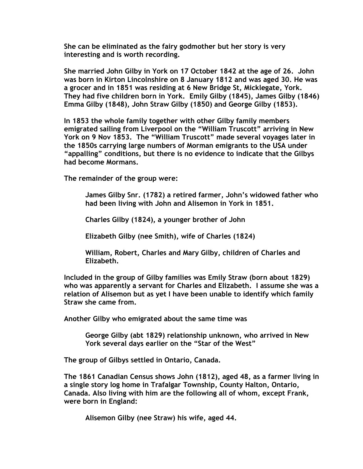**She can be eliminated as the fairy godmother but her story is very interesting and is worth recording.**

**She married John Gilby in York on 17 October 1842 at the age of 26. John was born in Kirton Lincolnshire on 8 January 1812 and was aged 30. He was a grocer and in 1851 was residing at 6 New Bridge St, Micklegate, York. They had five children born in York. Emily Gilby (1845), James Gilby (1846) Emma Gilby (1848), John Straw Gilby (1850) and George Gilby (1853).**

**In 1853 the whole family together with other Gilby family members emigrated sailing from Liverpool on the "William Truscott" arriving in New York on 9 Nov 1853. The "William Truscott" made several voyages later in the 1850s carrying large numbers of Morman emigrants to the USA under "appalling" conditions, but there is no evidence to indicate that the Gilbys had become Mormans.**

**The remainder of the group were:**

**James Gilby Snr. (1782) a retired farmer, John's widowed father who had been living with John and Alisemon in York in 1851.**

**Charles Gilby (1824), a younger brother of John**

**Elizabeth Gilby (nee Smith), wife of Charles (1824)**

**William, Robert, Charles and Mary Gilby, children of Charles and Elizabeth.**

**Included in the group of Gilby families was Emily Straw (born about 1829) who was apparently a servant for Charles and Elizabeth. I assume she was a relation of Alisemon but as yet I have been unable to identify which family Straw she came from.**

**Another Gilby who emigrated about the same time was**

**George Gilby (abt 1829) relationship unknown, who arrived in New York several days earlier on the "Star of the West"**

**The group of Gilbys settled in Ontario, Canada.**

**The 1861 Canadian Census shows John (1812), aged 48, as a farmer living in a single story log home in Trafalgar Township, County Halton, Ontario, Canada. Also living with him are the following all of whom, except Frank, were born in England:**

**Alisemon Gilby (nee Straw) his wife, aged 44.**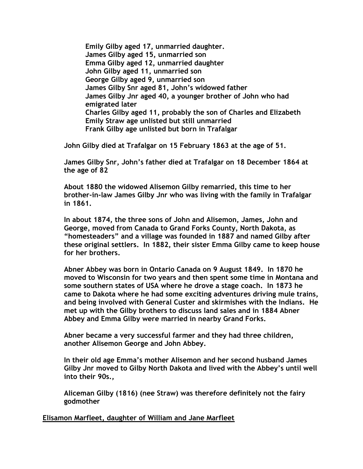**Emily Gilby aged 17, unmarried daughter. James Gilby aged 15, unmarried son Emma Gilby aged 12, unmarried daughter John Gilby aged 11, unmarried son George Gilby aged 9, unmarried son James Gilby Snr aged 81, John's widowed father James Gilby Jnr aged 40, a younger brother of John who had emigrated later Charles Gilby aged 11, probably the son of Charles and Elizabeth Emily Straw age unlisted but still unmarried Frank Gilby age unlisted but born in Trafalgar**

**John Gilby died at Trafalgar on 15 February 1863 at the age of 51.**

**James Gilby Snr, John's father died at Trafalgar on 18 December 1864 at the age of 82**

**About 1880 the widowed Alisemon Gilby remarried, this time to her brother-in-law James Gilby Jnr who was living with the family in Trafalgar in 1861.**

**In about 1874, the three sons of John and Alisemon, James, John and George, moved from Canada to Grand Forks County, North Dakota, as "homesteaders" and a village was founded in 1887 and named Gilby after these original settlers. In 1882, their sister Emma Gilby came to keep house for her brothers.**

**Abner Abbey was born in Ontario Canada on 9 August 1849. In 1870 he moved to Wisconsin for two years and then spent some time in Montana and some southern states of USA where he drove a stage coach. In 1873 he came to Dakota where he had some exciting adventures driving mule trains, and being involved with General Custer and skirmishes with the Indians. He met up with the Gilby brothers to discuss land sales and in 1884 Abner Abbey and Emma Gilby were married in nearby Grand Forks.**

**Abner became a very successful farmer and they had three children, another Alisemon George and John Abbey.**

**In their old age Emma's mother Alisemon and her second husband James Gilby Jnr moved to Gilby North Dakota and lived with the Abbey's until well into their 90s.,** 

**Aliceman Gilby (1816) (nee Straw) was therefore definitely not the fairy godmother**

**Elisamon Marfleet, daughter of William and Jane Marfleet**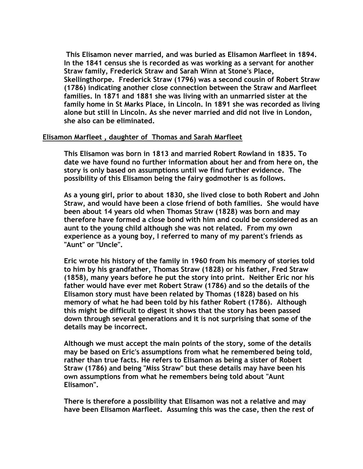**This Elisamon never married, and was buried as Elisamon Marfleet in 1894. In the 1841 census she is recorded as was working as a servant for another Straw family, Frederick Straw and Sarah Winn at Stone's Place, Skellingthorpe. Frederick Straw (1796) was a second cousin of Robert Straw (1786) indicating another close connection between the Straw and Marfleet families. In 1871 and 1881 she was living with an unmarried sister at the family home in St Marks Place, in Lincoln. In 1891 she was recorded as living alone but still in Lincoln. As she never married and did not live in London, she also can be eliminated.**

## **Elisamon Marfleet , daughter of Thomas and Sarah Marfleet**

**This Elisamon was born in 1813 and married Robert Rowland in 1835. To date we have found no further information about her and from here on, the story is only based on assumptions until we find further evidence. The possibility of this Elisamon being the fairy godmother is as follows.**

**As a young girl, prior to about 1830, she lived close to both Robert and John Straw, and would have been a close friend of both families. She would have been about 14 years old when Thomas Straw (1828) was born and may therefore have formed a close bond with him and could be considered as an aunt to the young child although she was not related. From my own experience as a young boy, I referred to many of my parent's friends as "Aunt" or "Uncle".**

**Eric wrote his history of the family in 1960 from his memory of stories told to him by his grandfather, Thomas Straw (1828) or his father, Fred Straw (1858), many years before he put the story into print. Neither Eric nor his father would have ever met Robert Straw (1786) and so the details of the Elisamon story must have been related by Thomas (1828) based on his memory of what he had been told by his father Robert (1786). Although this might be difficult to digest it shows that the story has been passed down through several generations and it is not surprising that some of the details may be incorrect.** 

**Although we must accept the main points of the story, some of the details may be based on Eric's assumptions from what he remembered being told, rather than true facts. He refers to Elisamon as being a sister of Robert Straw (1786) and being "Miss Straw" but these details may have been his own assumptions from what he remembers being told about "Aunt Elisamon".**

**There is therefore a possibility that Elisamon was not a relative and may have been Elisamon Marfleet. Assuming this was the case, then the rest of**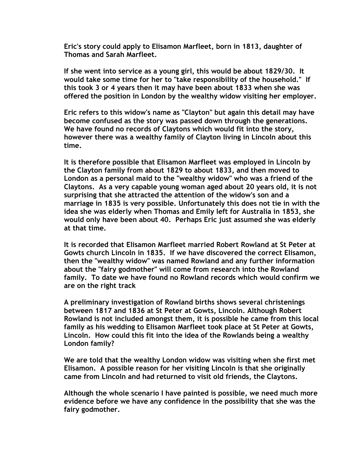**Eric's story could apply to Elisamon Marfleet, born in 1813, daughter of Thomas and Sarah Marfleet.** 

**If she went into service as a young girl, this would be about 1829/30. It would take some time for her to "take responsibility of the household." If this took 3 or 4 years then it may have been about 1833 when she was offered the position in London by the wealthy widow visiting her employer.**

**Eric refers to this widow's name as "Clayton" but again this detail may have become confused as the story was passed down through the generations. We have found no records of Claytons which would fit into the story, however there was a wealthy family of Clayton living in Lincoln about this time.**

**It is therefore possible that Elisamon Marfleet was employed in Lincoln by the Clayton family from about 1829 to about 1833, and then moved to London as a personal maid to the "wealthy widow" who was a friend of the Claytons. As a very capable young woman aged about 20 years old, it is not surprising that she attracted the attention of the widow's son and a marriage in 1835 is very possible. Unfortunately this does not tie in with the idea she was elderly when Thomas and Emily left for Australia in 1853, she would only have been about 40. Perhaps Eric just assumed she was elderly at that time.**

**It is recorded that Elisamon Marfleet married Robert Rowland at St Peter at Gowts church Lincoln in 1835. If we have discovered the correct Elisamon, then the "wealthy widow" was named Rowland and any further information about the "fairy godmother" will come from research into the Rowland family. To date we have found no Rowland records which would confirm we are on the right track**

**A preliminary investigation of Rowland births shows several christenings between 1817 and 1836 at St Peter at Gowts, Lincoln. Although Robert Rowland is not included amongst them, it is possible he came from this local family as his wedding to Elisamon Marfleet took place at St Peter at Gowts, Lincoln. How could this fit into the idea of the Rowlands being a wealthy London family?**

**We are told that the wealthy London widow was visiting when she first met Elisamon. A possible reason for her visiting Lincoln is that she originally came from Lincoln and had returned to visit old friends, the Claytons.**

**Although the whole scenario I have painted is possible, we need much more evidence before we have any confidence in the possibility that she was the fairy godmother.**